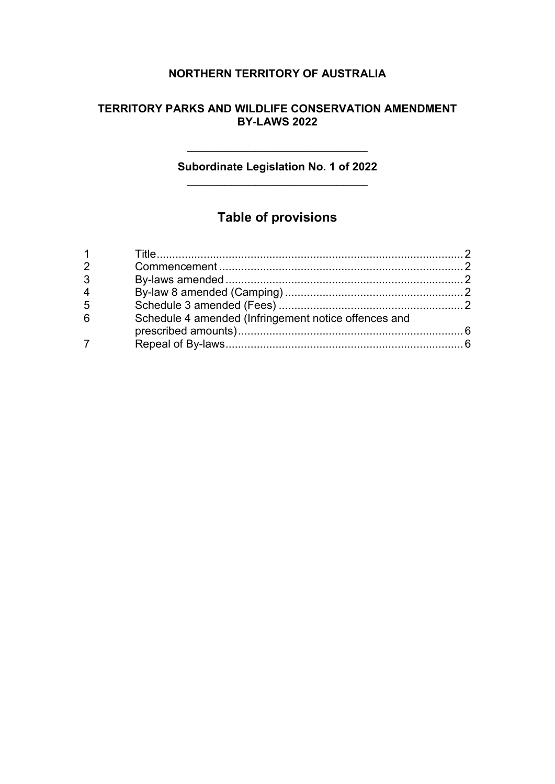### **NORTHERN TERRITORY OF AUSTRALIA**

#### **TERRITORY PARKS AND WILDLIFE CONSERVATION AMENDMENT BY-LAWS 2022**

#### **Subordinate Legislation No. 1 of 2022** \_\_\_\_\_\_\_\_\_\_\_\_\_\_\_\_\_\_\_\_\_\_\_\_\_\_\_\_\_

 $\overline{\phantom{a}}$ 

## **Table of provisions**

| 2 |                                                      |  |
|---|------------------------------------------------------|--|
| 3 |                                                      |  |
| 4 |                                                      |  |
| 5 |                                                      |  |
| 6 | Schedule 4 amended (Infringement notice offences and |  |
|   |                                                      |  |
|   |                                                      |  |
|   |                                                      |  |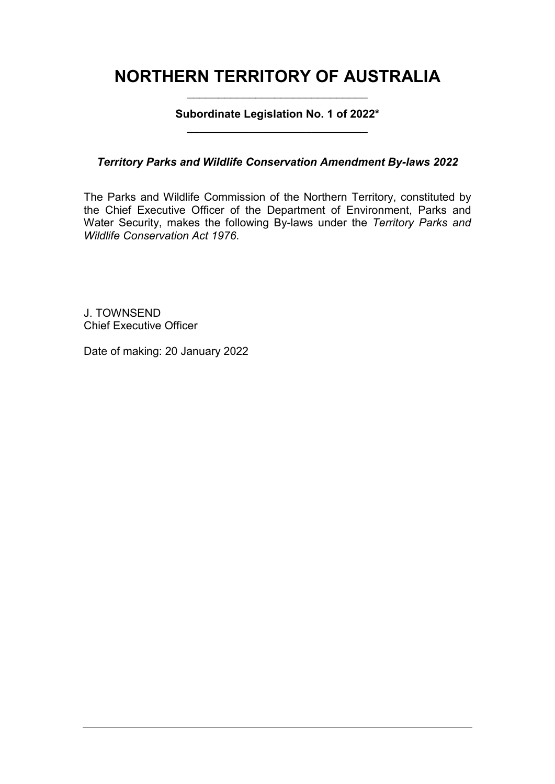## **NORTHERN TERRITORY OF AUSTRALIA** \_\_\_\_\_\_\_\_\_\_\_\_\_\_\_\_\_\_\_\_\_\_\_\_\_\_\_\_\_

**Subordinate Legislation No. 1 of 2022\*** \_\_\_\_\_\_\_\_\_\_\_\_\_\_\_\_\_\_\_\_\_\_\_\_\_\_\_\_\_

*Territory Parks and Wildlife Conservation Amendment By-laws 2022*

The Parks and Wildlife Commission of the Northern Territory, constituted by the Chief Executive Officer of the Department of Environment, Parks and Water Security, makes the following By-laws under the *Territory Parks and Wildlife Conservation Act 1976*.

J. TOWNSEND Chief Executive Officer

Date of making: 20 January 2022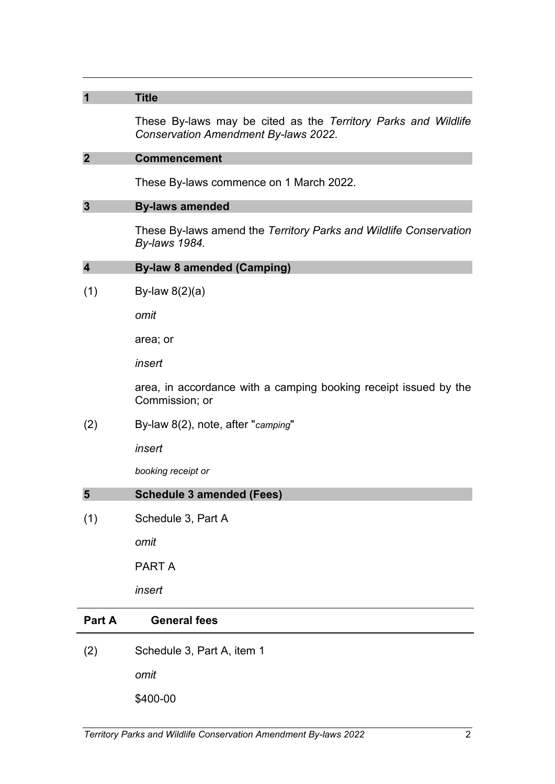| $\overline{\mathbf{1}}$ | <b>Title</b>                                                                                           |  |  |
|-------------------------|--------------------------------------------------------------------------------------------------------|--|--|
|                         | These By-laws may be cited as the Territory Parks and Wildlife<br>Conservation Amendment By-laws 2022. |  |  |
| $\overline{2}$          | <b>Commencement</b>                                                                                    |  |  |
|                         | These By-laws commence on 1 March 2022.                                                                |  |  |
| $\mathbf{3}$            | <b>By-laws amended</b>                                                                                 |  |  |
|                         | These By-laws amend the Territory Parks and Wildlife Conservation<br>By-laws 1984.                     |  |  |
| $\overline{\mathbf{4}}$ | <b>By-law 8 amended (Camping)</b>                                                                      |  |  |
| (1)                     | By-law $8(2)(a)$                                                                                       |  |  |
|                         | omit                                                                                                   |  |  |
|                         | area; or                                                                                               |  |  |
|                         | insert                                                                                                 |  |  |
|                         | area, in accordance with a camping booking receipt issued by the<br>Commission; or                     |  |  |
| (2)                     | By-law 8(2), note, after "camping"                                                                     |  |  |
|                         | insert                                                                                                 |  |  |
|                         | booking receipt or                                                                                     |  |  |
| 5                       | <b>Schedule 3 amended (Fees)</b>                                                                       |  |  |
| (1)                     | Schedule 3, Part A                                                                                     |  |  |
|                         | omit                                                                                                   |  |  |
|                         | <b>PART A</b>                                                                                          |  |  |
|                         | insert                                                                                                 |  |  |
| Part A                  | <b>General fees</b>                                                                                    |  |  |
| (2)                     | Schedule 3, Part A, item 1                                                                             |  |  |
|                         | omit                                                                                                   |  |  |

\$400-00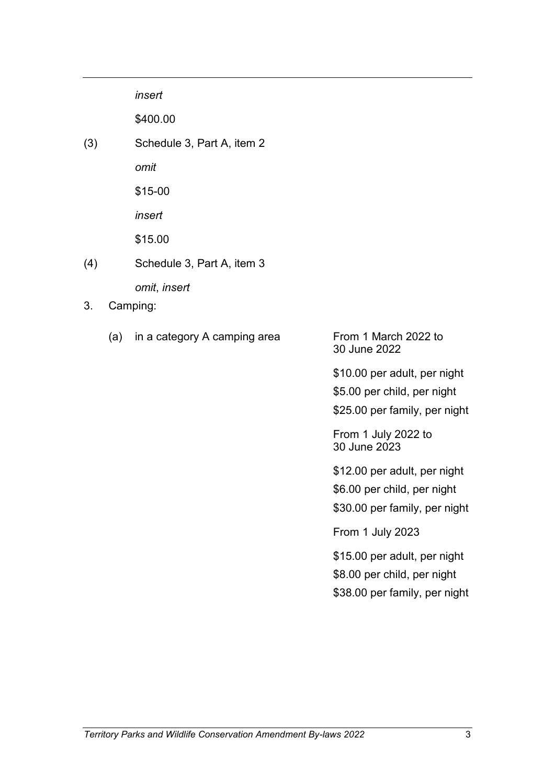*insert*

\$400.00

(3) Schedule 3, Part A, item 2

*omit*

\$15-00

*insert*

\$15.00

- (4) Schedule 3, Part A, item 3 *omit*, *insert*
- 3. Camping:
	- (a) in a category A camping area From 1 March 2022 to

30 June 2022

\$10.00 per adult, per night \$5.00 per child, per night \$25.00 per family, per night

From 1 July 2022 to 30 June 2023

\$12.00 per adult, per night \$6.00 per child, per night \$30.00 per family, per night

From 1 July 2023

\$15.00 per adult, per night \$8.00 per child, per night \$38.00 per family, per night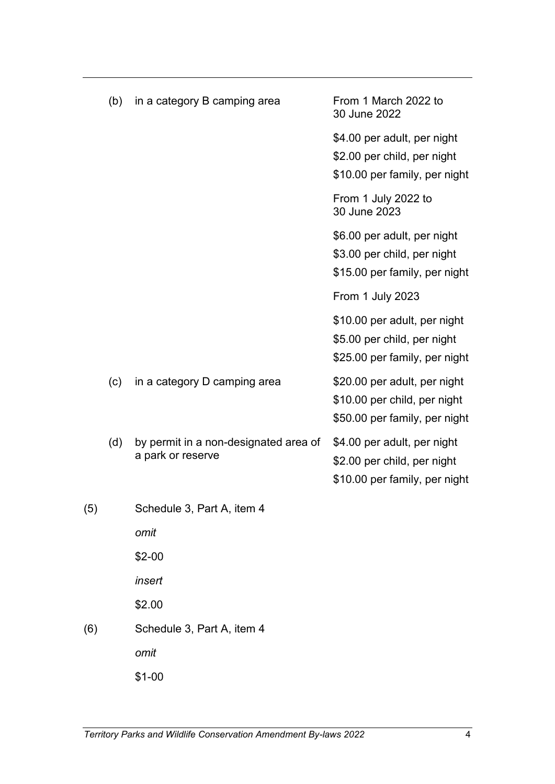|     | (b) | in a category B camping area                               | From 1 March 2022 to<br>30 June 2022                       |
|-----|-----|------------------------------------------------------------|------------------------------------------------------------|
|     |     |                                                            | \$4.00 per adult, per night                                |
|     |     |                                                            | \$2.00 per child, per night                                |
|     |     |                                                            | \$10.00 per family, per night                              |
|     |     |                                                            | From 1 July 2022 to<br>30 June 2023                        |
|     |     |                                                            | \$6.00 per adult, per night                                |
|     |     |                                                            | \$3.00 per child, per night                                |
|     |     |                                                            | \$15.00 per family, per night                              |
|     |     |                                                            | From 1 July 2023                                           |
|     |     |                                                            | \$10.00 per adult, per night                               |
|     |     |                                                            | \$5.00 per child, per night                                |
|     |     |                                                            | \$25.00 per family, per night                              |
|     | (c) | in a category D camping area                               | \$20.00 per adult, per night                               |
|     |     |                                                            | \$10.00 per child, per night                               |
|     |     |                                                            | \$50.00 per family, per night                              |
|     | (d) | by permit in a non-designated area of<br>a park or reserve | \$4.00 per adult, per night<br>\$2.00 per child, per night |
|     |     |                                                            | \$10.00 per family, per night                              |
|     |     |                                                            |                                                            |
| (5) |     | Schedule 3, Part A, item 4                                 |                                                            |
|     |     | omit                                                       |                                                            |
|     |     | $$2-00$                                                    |                                                            |
|     |     | insert                                                     |                                                            |
|     |     | \$2.00                                                     |                                                            |
| (6) |     | Schedule 3, Part A, item 4                                 |                                                            |
|     |     | omit                                                       |                                                            |
|     |     | $$1-00$                                                    |                                                            |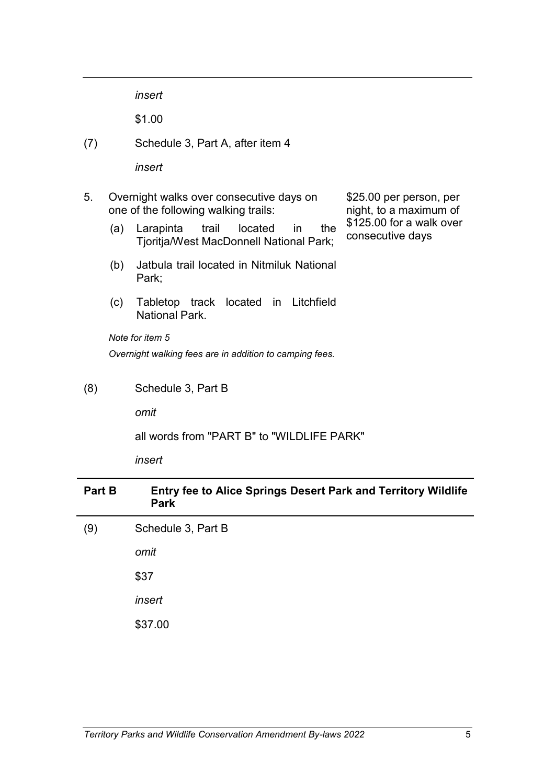*insert*

\$1.00

(7) Schedule 3, Part A, after item 4

*insert*

- 5. Overnight walks over consecutive days on one of the following walking trails:
	- (a) Larapinta trail located in the Tjoritja/West MacDonnell National Park;
	- (b) Jatbula trail located in Nitmiluk National Park;
	- (c) Tabletop track located in Litchfield National Park.

*Note for item 5 Overnight walking fees are in addition to camping fees.*

(8) Schedule 3, Part B

*omit*

all words from "PART B" to "WILDLIFE PARK"

*insert*

| Part B | <b>Entry fee to Alice Springs Desert Park and Territory Wildlife</b><br><b>Park</b> |
|--------|-------------------------------------------------------------------------------------|
| (9)    | Schedule 3, Part B                                                                  |
|        | omit                                                                                |
|        | \$37                                                                                |
|        | insert                                                                              |
|        | \$37.00                                                                             |

\$25.00 per person, per night, to a maximum of \$125.00 for a walk over

consecutive days